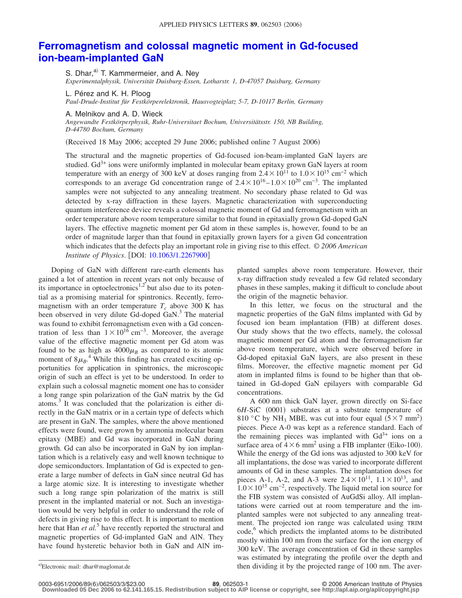## **[Ferromagnetism and colossal magnetic moment in Gd-focused](http://dx.doi.org/10.1063/1.2267900) [ion-beam-implanted GaN](http://dx.doi.org/10.1063/1.2267900)**

S. Dhar, $a<sup>3</sup>$  T. Kammermeier, and A. Ney *Experimentalphysik, Universität Duisburg-Essen, Lotharstr. 1, D-47057 Duisburg, Germany*

L. Pérez and K. H. Ploog

*Paul-Drude-Institut für Festkörperelektronik, Hausvogteiplatz 5-7, D-10117 Berlin, Germany*

A. Melnikov and A. D. Wieck

*Angewandte Festkörperphysik, Ruhr-Universitaet Bochum, Universitätsstr. 150, NB Building, D-44780 Bochum, Germany*

(Received 18 May 2006; accepted 29 June 2006; published online 7 August 2006)

The structural and the magnetic properties of Gd-focused ion-beam-implanted GaN layers are studied. Gd<sup>3+</sup> ions were uniformly implanted in molecular beam epitaxy grown GaN layers at room temperature with an energy of 300 keV at doses ranging from  $2.4 \times 10^{11}$  to  $1.0 \times 10^{15}$  cm<sup>-2</sup> which corresponds to an average Gd concentration range of  $2.4 \times 10^{16} - 1.0 \times 10^{20}$  cm<sup>-3</sup>. The implanted samples were not subjected to any annealing treatment. No secondary phase related to Gd was detected by x-ray diffraction in these layers. Magnetic characterization with superconducting quantum interference device reveals a colossal magnetic moment of Gd and ferromagnetism with an order temperature above room temperature similar to that found in epitaxially grown Gd-doped GaN layers. The effective magnetic moment per Gd atom in these samples is, however, found to be an order of magnitude larger than that found in epitaxially grown layers for a given Gd concentration which indicates that the defects play an important role in giving rise to this effect. © *2006 American Institute of Physics.* [DOI: [10.1063/1.2267900](http://dx.doi.org/10.1063/1.2267900)]

Doping of GaN with different rare-earth elements has gained a lot of attention in recent years not only because of its importance in optoelectronics<sup>1,2</sup> but also due to its potential as a promising material for spintronics. Recently, ferromagnetism with an order temperature  $T_c$  above 300 K has been observed in very dilute Gd-doped GaN.<sup>3</sup> The material was found to exhibit ferromagnetism even with a Gd concentration of less than  $1 \times 10^{16}$  cm<sup>-3</sup>. Moreover, the average value of the effective magnetic moment per Gd atom was found to be as high as  $4000\mu$ <sub>B</sub> as compared to its atomic moment of  $8\mu_B$ <sup>4</sup>. While this finding has created exciting opportunities for application in spintronics, the microscopic origin of such an effect is yet to be understood. In order to explain such a colossal magnetic moment one has to consider a long range spin polarization of the GaN matrix by the Gd atoms.3 It was concluded that the polarization is either directly in the GaN matrix or in a certain type of defects which are present in GaN. The samples, where the above mentioned effects were found, were grown by ammonia molecular beam epitaxy (MBE) and Gd was incorporated in GaN during growth. Gd can also be incorporated in GaN by ion implantation which is a relatively easy and well known technique to dope semiconductors. Implantation of Gd is expected to generate a large number of defects in GaN since neutral Gd has a large atomic size. It is interesting to investigate whether such a long range spin polarization of the matrix is still present in the implanted material or not. Such an investigation would be very helpful in order to understand the role of defects in giving rise to this effect. It is important to mention here that Han *et al.*<sup>5</sup> have recently reported the structural and magnetic properties of Gd-implanted GaN and AlN. They have found hysteretic behavior both in GaN and AlN implanted samples above room temperature. However, their x-ray diffraction study revealed a few Gd related secondary phases in these samples, making it difficult to conclude about the origin of the magnetic behavior.

In this letter, we focus on the structural and the magnetic properties of the GaN films implanted with Gd by focused ion beam implantation (FIB) at different doses. Our study shows that the two effects, namely, the colossal magnetic moment per Gd atom and the ferromagnetism far above room temperature, which were observed before in Gd-doped epitaxial GaN layers, are also present in these films. Moreover, the effective magnetic moment per Gd atom in implanted films is found to be higher than that obtained in Gd-doped GaN epilayers with comparable Gd concentrations.

A 600 nm thick GaN layer, grown directly on Si-face 6H-SiC (0001) substrates at a substrate temperature of 810 °C by NH<sub>3</sub> MBE, was cut into four equal  $(5 \times 7 \text{ mm}^2)$ pieces. Piece A-0 was kept as a reference standard. Each of the remaining pieces was implanted with  $Gd^{3+}$  ions on a surface area of  $4 \times 6$  mm<sup>2</sup> using a FIB implanter (Eiko-100). While the energy of the Gd ions was adjusted to 300 keV for all implantations, the dose was varied to incorporate different amounts of Gd in these samples. The implantation doses for pieces A-1, A-2, and A-3 were  $2.4 \times 10^{11}$ ,  $1.1 \times 10^{13}$ , and  $1.0\times10^{15}$  cm<sup>-2</sup>, respectively. The liquid metal ion source for the FIB system was consisted of AuGdSi alloy. All implantations were carried out at room temperature and the implanted samples were not subjected to any annealing treatment. The projected ion range was calculated using TRIM code,<sup>6</sup> which predicts the implanted atoms to be distributed mostly within 100 nm from the surface for the ion energy of 300 keV. The average concentration of Gd in these samples was estimated by integrating the profile over the depth and then dividing it by the projected range of 100 nm. The aver-

6/062503/3/\$23.00 © 2006 American Institute of Physics **89**, 062503-1 **Downloaded 05 Dec 2006 to 62.141.165.15. Redistribution subject to AIP license or copyright, see http://apl.aip.org/apl/copyright.jsp**

Electronic mail: dhar@maglomat.de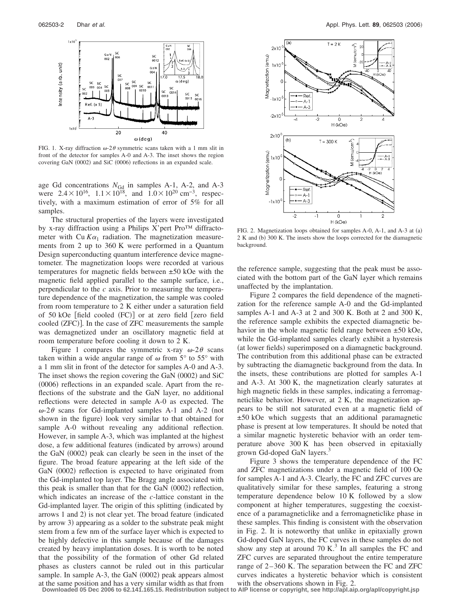

FIG. 1. X-ray diffraction  $\omega$ -2 $\theta$  symmetric scans taken with a 1 mm slit in front of the detector for samples A-0 and A-3. The inset shows the region covering GaN (0002) and SiC (0006) reflections in an expanded scale.

age Gd concentrations  $N_{\text{Gd}}$  in samples A-1, A-2, and A-3 were  $2.4 \times 10^{16}$ ,  $1.1 \times 10^{18}$ , and  $1.0 \times 10^{20}$  cm<sup>-3</sup>, respectively, with a maximum estimation of error of 5% for all samples.

The structural properties of the layers were investigated by x-ray diffraction using a Philips X'pert Pro™ diffractometer with Cu  $K\alpha_1$  radiation. The magnetization measurements from 2 up to 360 K were performed in a Quantum Design superconducting quantum interference device magnetometer. The magnetization loops were recorded at various temperatures for magnetic fields between ±50 kOe with the magnetic field applied parallel to the sample surface, i.e., perpendicular to the *c* axis. Prior to measuring the temperature dependence of the magnetization, the sample was cooled from room temperature to 2 K either under a saturation field of 50 kOe [field cooled (FC)] or at zero field [zero field cooled (ZFC)]. In the case of ZFC measurements the sample was demagnetized under an oscillatory magnetic field at room temperature before cooling it down to 2 K.

Figure 1 compares the symmetric x-ray  $\omega$ -2 $\theta$  scans taken within a wide angular range of  $\omega$  from 5° to 55° with a 1 mm slit in front of the detector for samples A-0 and A-3. The inset shows the region covering the GaN (0002) and SiC (0006) reflections in an expanded scale. Apart from the reflections of the substrate and the GaN layer, no additional reflections were detected in sample A-0 as expected. The  $\omega$ -2 $\theta$  scans for Gd-implanted samples A-1 and A-2 (not shown in the figure) look very similar to that obtained for sample A-0 without revealing any additional reflection. However, in sample A-3, which was implanted at the highest dose, a few additional features (indicated by arrows) around the GaN (0002) peak can clearly be seen in the inset of the figure. The broad feature appearing at the left side of the GaN (0002) reflection is expected to have originated from the Gd-implanted top layer. The Bragg angle associated with this peak is smaller than that for the GaN (0002) reflection, which indicates an increase of the *c*-lattice constant in the Gd-implanted layer. The origin of this splitting (indicated by arrows 1 and 2) is not clear yet. The broad feature (indicated by arrow 3) appearing as a solder to the substrate peak might stem from a few nm of the surface layer which is expected to be highly defective in this sample because of the damages created by heavy implantation doses. It is worth to be noted that the possibility of the formation of other Gd related phases as clusters cannot be ruled out in this particular sample. In sample A-3, the GaN (0002) peak appears almost at the same position and has a very similar width as that from



FIG. 2. Magnetization loops obtained for samples A-0, A-1, and A-3 at (a) 2 K and (b) 300 K. The insets show the loops corrected for the diamagnetic background.

the reference sample, suggesting that the peak must be associated with the bottom part of the GaN layer which remains unaffected by the implantation.

Figure 2 compares the field dependence of the magnetization for the reference sample A-0 and the Gd-implanted samples A-1 and A-3 at 2 and 300 K. Both at 2 and 300 K, the reference sample exhibits the expected diamagnetic behavior in the whole magnetic field range between  $\pm 50$  kOe, while the Gd-implanted samples clearly exhibit a hysteresis (at lower fields) superimposed on a diamagnetic background. The contribution from this additional phase can be extracted by subtracting the diamagnetic background from the data. In the insets, these contributions are plotted for samples A-1 and A-3. At 300 K, the magnetization clearly saturates at high magnetic fields in these samples, indicating a ferromagneticlike behavior. However, at 2 K, the magnetization appears to be still not saturated even at a magnetic field of ±50 kOe which suggests that an additional paramagnetic phase is present at low temperatures. It should be noted that a similar magnetic hysteretic behavior with an order temperature above 300 K has been observed in epitaxially grown Gd-doped GaN layers.<sup>3</sup>

Figure 3 shows the temperature dependence of the FC and ZFC magnetizations under a magnetic field of 100 Oe for samples A-1 and A-3. Clearly, the FC and ZFC curves are qualitatively similar for these samples, featuring a strong temperature dependence below 10 K followed by a slow component at higher temperatures, suggesting the coexistence of a paramagneticlike and a ferromagneticlike phase in these samples. This finding is consistent with the observation in Fig. 2. It is noteworthy that unlike in epitaxially grown Gd-doped GaN layers, the FC curves in these samples do not show any step at around 70 K. $3$  In all samples the FC and ZFC curves are separated throughout the entire temperature range of 2–360 K. The separation between the FC and ZFC curves indicates a hysteretic behavior which is consistent with the observations shown in Fig. 2.

**Downloaded 05 Dec 2006 to 62.141.165.15. Redistribution subject to AIP license or copyright, see http://apl.aip.org/apl/copyright.jsp**